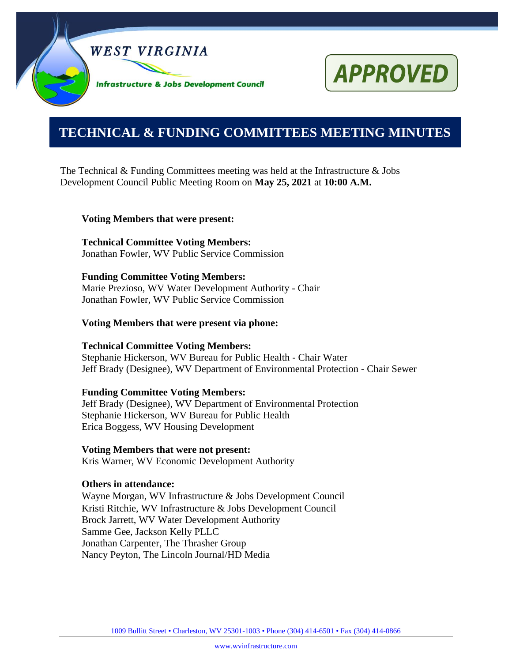



# **0000000000000000000000000000000000000000000000000000. TECHNICAL & FUNDING COMMITTEES MEETING MINUTES**

The Technical & Funding Committees meeting was held at the Infrastructure  $\&$  Jobs Development Council Public Meeting Room on **May 25, 2021** at **10:00 A.M.**

#### **Voting Members that were present:**

**Technical Committee Voting Members:** Jonathan Fowler, WV Public Service Commission

#### **Funding Committee Voting Members:**

Marie Prezioso, WV Water Development Authority - Chair Jonathan Fowler, WV Public Service Commission

#### **Voting Members that were present via phone:**

#### **Technical Committee Voting Members:**

Stephanie Hickerson, WV Bureau for Public Health - Chair Water Jeff Brady (Designee), WV Department of Environmental Protection - Chair Sewer

#### **Funding Committee Voting Members:**

Jeff Brady (Designee), WV Department of Environmental Protection Stephanie Hickerson, WV Bureau for Public Health Erica Boggess, WV Housing Development

#### **Voting Members that were not present:**

Kris Warner, WV Economic Development Authority

#### **Others in attendance:**

Wayne Morgan, WV Infrastructure & Jobs Development Council Kristi Ritchie, WV Infrastructure & Jobs Development Council Brock Jarrett, WV Water Development Authority Samme Gee, Jackson Kelly PLLC Jonathan Carpenter, The Thrasher Group Nancy Peyton, The Lincoln Journal/HD Media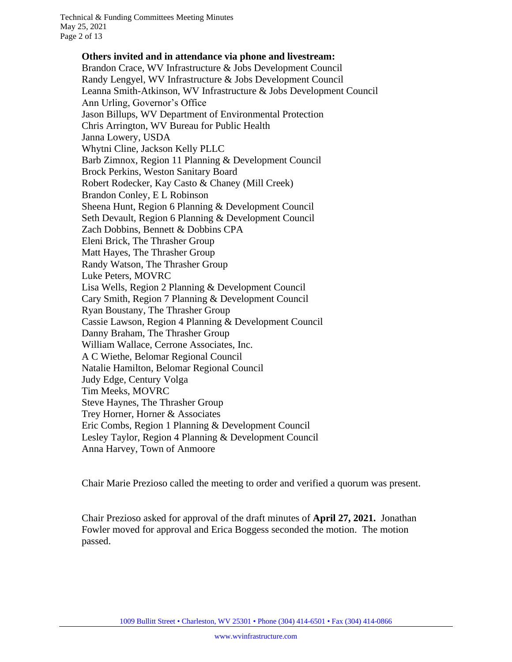Technical & Funding Committees Meeting Minutes May 25, 2021 Page 2 of 13

> **Others invited and in attendance via phone and livestream:** Brandon Crace, WV Infrastructure & Jobs Development Council Randy Lengyel, WV Infrastructure & Jobs Development Council Leanna Smith-Atkinson, WV Infrastructure & Jobs Development Council Ann Urling, Governor's Office Jason Billups, WV Department of Environmental Protection Chris Arrington, WV Bureau for Public Health Janna Lowery, USDA Whytni Cline, Jackson Kelly PLLC Barb Zimnox, Region 11 Planning & Development Council Brock Perkins, Weston Sanitary Board Robert Rodecker, Kay Casto & Chaney (Mill Creek) Brandon Conley, E L Robinson Sheena Hunt, Region 6 Planning & Development Council Seth Devault, Region 6 Planning & Development Council Zach Dobbins, Bennett & Dobbins CPA Eleni Brick, The Thrasher Group Matt Hayes, The Thrasher Group Randy Watson, The Thrasher Group Luke Peters, MOVRC Lisa Wells, Region 2 Planning & Development Council Cary Smith, Region 7 Planning & Development Council Ryan Boustany, The Thrasher Group Cassie Lawson, Region 4 Planning & Development Council Danny Braham, The Thrasher Group William Wallace, Cerrone Associates, Inc. A C Wiethe, Belomar Regional Council Natalie Hamilton, Belomar Regional Council Judy Edge, Century Volga Tim Meeks, MOVRC Steve Haynes, The Thrasher Group Trey Horner, Horner & Associates Eric Combs, Region 1 Planning & Development Council Lesley Taylor, Region 4 Planning & Development Council Anna Harvey, Town of Anmoore

Chair Marie Prezioso called the meeting to order and verified a quorum was present.

Chair Prezioso asked for approval of the draft minutes of **April 27, 2021.** Jonathan Fowler moved for approval and Erica Boggess seconded the motion. The motion passed.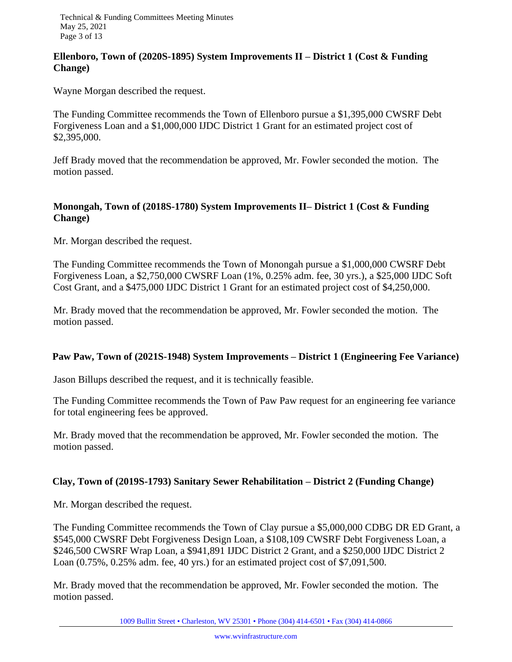## **Ellenboro, Town of (2020S-1895) System Improvements II – District 1 (Cost & Funding Change)**

Wayne Morgan described the request.

The Funding Committee recommends the Town of Ellenboro pursue a \$1,395,000 CWSRF Debt Forgiveness Loan and a \$1,000,000 IJDC District 1 Grant for an estimated project cost of \$2,395,000.

Jeff Brady moved that the recommendation be approved, Mr. Fowler seconded the motion. The motion passed.

# **Monongah, Town of (2018S-1780) System Improvements II– District 1 (Cost & Funding Change)**

Mr. Morgan described the request.

The Funding Committee recommends the Town of Monongah pursue a \$1,000,000 CWSRF Debt Forgiveness Loan, a \$2,750,000 CWSRF Loan (1%, 0.25% adm. fee, 30 yrs.), a \$25,000 IJDC Soft Cost Grant, and a \$475,000 IJDC District 1 Grant for an estimated project cost of \$4,250,000.

Mr. Brady moved that the recommendation be approved, Mr. Fowler seconded the motion. The motion passed.

# **Paw Paw, Town of (2021S-1948) System Improvements – District 1 (Engineering Fee Variance)**

Jason Billups described the request, and it is technically feasible.

The Funding Committee recommends the Town of Paw Paw request for an engineering fee variance for total engineering fees be approved.

Mr. Brady moved that the recommendation be approved, Mr. Fowler seconded the motion. The motion passed.

# **Clay, Town of (2019S-1793) Sanitary Sewer Rehabilitation – District 2 (Funding Change)**

Mr. Morgan described the request.

The Funding Committee recommends the Town of Clay pursue a \$5,000,000 CDBG DR ED Grant, a \$545,000 CWSRF Debt Forgiveness Design Loan, a \$108,109 CWSRF Debt Forgiveness Loan, a \$246,500 CWSRF Wrap Loan, a \$941,891 IJDC District 2 Grant, and a \$250,000 IJDC District 2 Loan (0.75%, 0.25% adm. fee, 40 yrs.) for an estimated project cost of \$7,091,500.

Mr. Brady moved that the recommendation be approved, Mr. Fowler seconded the motion. The motion passed.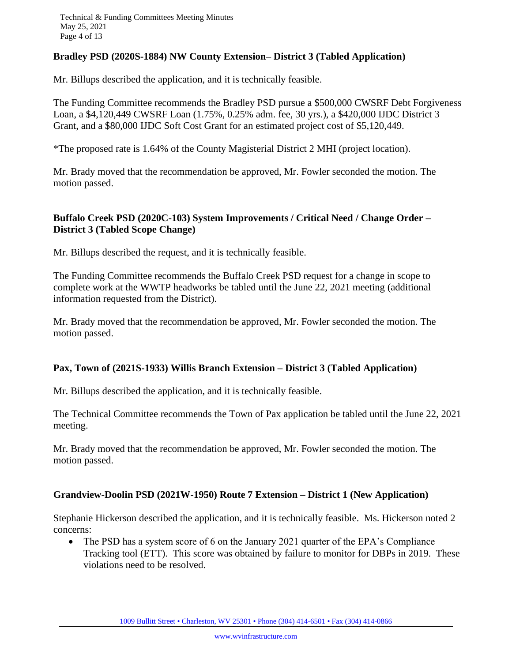## **Bradley PSD (2020S-1884) NW County Extension– District 3 (Tabled Application)**

Mr. Billups described the application, and it is technically feasible.

The Funding Committee recommends the Bradley PSD pursue a \$500,000 CWSRF Debt Forgiveness Loan, a \$4,120,449 CWSRF Loan (1.75%, 0.25% adm. fee, 30 yrs.), a \$420,000 IJDC District 3 Grant, and a \$80,000 IJDC Soft Cost Grant for an estimated project cost of \$5,120,449.

\*The proposed rate is 1.64% of the County Magisterial District 2 MHI (project location).

Mr. Brady moved that the recommendation be approved, Mr. Fowler seconded the motion. The motion passed.

#### **Buffalo Creek PSD (2020C-103) System Improvements / Critical Need / Change Order – District 3 (Tabled Scope Change)**

Mr. Billups described the request, and it is technically feasible.

The Funding Committee recommends the Buffalo Creek PSD request for a change in scope to complete work at the WWTP headworks be tabled until the June 22, 2021 meeting (additional information requested from the District).

Mr. Brady moved that the recommendation be approved, Mr. Fowler seconded the motion. The motion passed.

#### **Pax, Town of (2021S-1933) Willis Branch Extension – District 3 (Tabled Application)**

Mr. Billups described the application, and it is technically feasible.

The Technical Committee recommends the Town of Pax application be tabled until the June 22, 2021 meeting.

Mr. Brady moved that the recommendation be approved, Mr. Fowler seconded the motion. The motion passed.

#### **Grandview-Doolin PSD (2021W-1950) Route 7 Extension – District 1 (New Application)**

Stephanie Hickerson described the application, and it is technically feasible. Ms. Hickerson noted 2 concerns:

• The PSD has a system score of 6 on the January 2021 quarter of the EPA's Compliance Tracking tool (ETT). This score was obtained by failure to monitor for DBPs in 2019. These violations need to be resolved.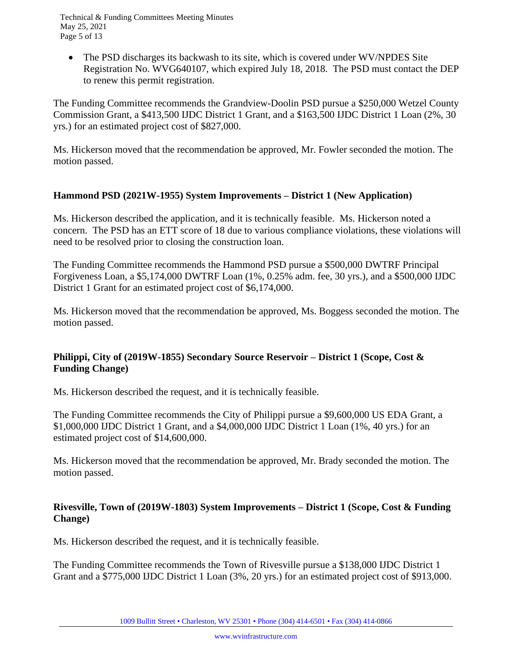• The PSD discharges its backwash to its site, which is covered under WV/NPDES Site Registration No. WVG640107, which expired July 18, 2018. The PSD must contact the DEP to renew this permit registration.

The Funding Committee recommends the Grandview-Doolin PSD pursue a \$250,000 Wetzel County Commission Grant, a \$413,500 IJDC District 1 Grant, and a \$163,500 IJDC District 1 Loan (2%, 30 yrs.) for an estimated project cost of \$827,000.

Ms. Hickerson moved that the recommendation be approved, Mr. Fowler seconded the motion. The motion passed.

# **Hammond PSD (2021W-1955) System Improvements – District 1 (New Application)**

Ms. Hickerson described the application, and it is technically feasible. Ms. Hickerson noted a concern. The PSD has an ETT score of 18 due to various compliance violations, these violations will need to be resolved prior to closing the construction loan.

The Funding Committee recommends the Hammond PSD pursue a \$500,000 DWTRF Principal Forgiveness Loan, a \$5,174,000 DWTRF Loan (1%, 0.25% adm. fee, 30 yrs.), and a \$500,000 IJDC District 1 Grant for an estimated project cost of \$6,174,000.

Ms. Hickerson moved that the recommendation be approved, Ms. Boggess seconded the motion. The motion passed.

# **Philippi, City of (2019W-1855) Secondary Source Reservoir – District 1 (Scope, Cost & Funding Change)**

Ms. Hickerson described the request, and it is technically feasible.

The Funding Committee recommends the City of Philippi pursue a \$9,600,000 US EDA Grant, a \$1,000,000 IJDC District 1 Grant, and a \$4,000,000 IJDC District 1 Loan (1%, 40 yrs.) for an estimated project cost of \$14,600,000.

Ms. Hickerson moved that the recommendation be approved, Mr. Brady seconded the motion. The motion passed.

# **Rivesville, Town of (2019W-1803) System Improvements – District 1 (Scope, Cost & Funding Change)**

Ms. Hickerson described the request, and it is technically feasible.

The Funding Committee recommends the Town of Rivesville pursue a \$138,000 IJDC District 1 Grant and a \$775,000 IJDC District 1 Loan (3%, 20 yrs.) for an estimated project cost of \$913,000.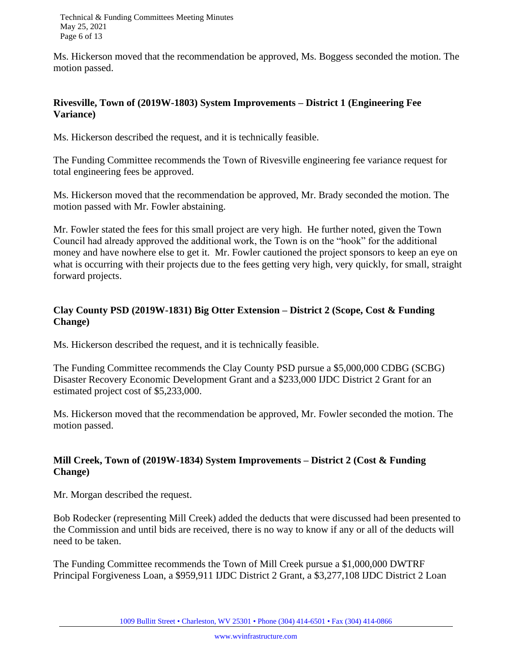Technical & Funding Committees Meeting Minutes May 25, 2021 Page 6 of 13

Ms. Hickerson moved that the recommendation be approved, Ms. Boggess seconded the motion. The motion passed.

#### **Rivesville, Town of (2019W-1803) System Improvements – District 1 (Engineering Fee Variance)**

Ms. Hickerson described the request, and it is technically feasible.

The Funding Committee recommends the Town of Rivesville engineering fee variance request for total engineering fees be approved.

Ms. Hickerson moved that the recommendation be approved, Mr. Brady seconded the motion. The motion passed with Mr. Fowler abstaining.

Mr. Fowler stated the fees for this small project are very high. He further noted, given the Town Council had already approved the additional work, the Town is on the "hook" for the additional money and have nowhere else to get it. Mr. Fowler cautioned the project sponsors to keep an eye on what is occurring with their projects due to the fees getting very high, very quickly, for small, straight forward projects.

# **Clay County PSD (2019W-1831) Big Otter Extension – District 2 (Scope, Cost & Funding Change)**

Ms. Hickerson described the request, and it is technically feasible.

The Funding Committee recommends the Clay County PSD pursue a \$5,000,000 CDBG (SCBG) Disaster Recovery Economic Development Grant and a \$233,000 IJDC District 2 Grant for an estimated project cost of \$5,233,000.

Ms. Hickerson moved that the recommendation be approved, Mr. Fowler seconded the motion. The motion passed.

# **Mill Creek, Town of (2019W-1834) System Improvements – District 2 (Cost & Funding Change)**

Mr. Morgan described the request.

Bob Rodecker (representing Mill Creek) added the deducts that were discussed had been presented to the Commission and until bids are received, there is no way to know if any or all of the deducts will need to be taken.

The Funding Committee recommends the Town of Mill Creek pursue a \$1,000,000 DWTRF Principal Forgiveness Loan, a \$959,911 IJDC District 2 Grant, a \$3,277,108 IJDC District 2 Loan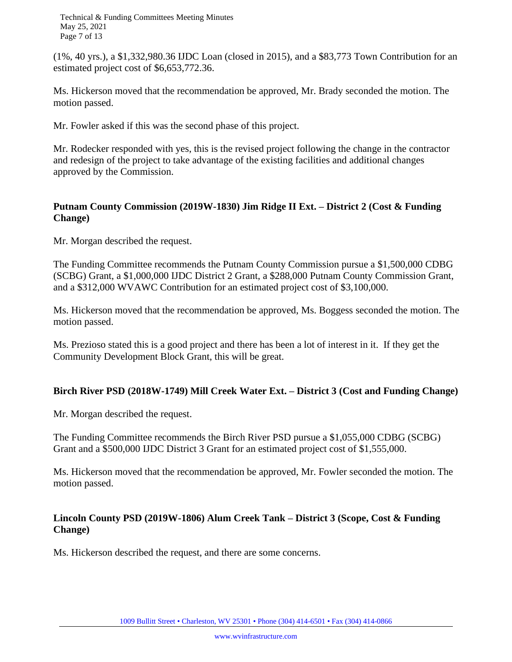Technical & Funding Committees Meeting Minutes May 25, 2021 Page 7 of 13

(1%, 40 yrs.), a \$1,332,980.36 IJDC Loan (closed in 2015), and a \$83,773 Town Contribution for an estimated project cost of \$6,653,772.36.

Ms. Hickerson moved that the recommendation be approved, Mr. Brady seconded the motion. The motion passed.

Mr. Fowler asked if this was the second phase of this project.

Mr. Rodecker responded with yes, this is the revised project following the change in the contractor and redesign of the project to take advantage of the existing facilities and additional changes approved by the Commission.

## **Putnam County Commission (2019W-1830) Jim Ridge II Ext. – District 2 (Cost & Funding Change)**

Mr. Morgan described the request.

The Funding Committee recommends the Putnam County Commission pursue a \$1,500,000 CDBG (SCBG) Grant, a \$1,000,000 IJDC District 2 Grant, a \$288,000 Putnam County Commission Grant, and a \$312,000 WVAWC Contribution for an estimated project cost of \$3,100,000.

Ms. Hickerson moved that the recommendation be approved, Ms. Boggess seconded the motion. The motion passed.

Ms. Prezioso stated this is a good project and there has been a lot of interest in it. If they get the Community Development Block Grant, this will be great.

# **Birch River PSD (2018W-1749) Mill Creek Water Ext. – District 3 (Cost and Funding Change)**

Mr. Morgan described the request.

The Funding Committee recommends the Birch River PSD pursue a \$1,055,000 CDBG (SCBG) Grant and a \$500,000 IJDC District 3 Grant for an estimated project cost of \$1,555,000.

Ms. Hickerson moved that the recommendation be approved, Mr. Fowler seconded the motion. The motion passed.

# **Lincoln County PSD (2019W-1806) Alum Creek Tank – District 3 (Scope, Cost & Funding Change)**

Ms. Hickerson described the request, and there are some concerns.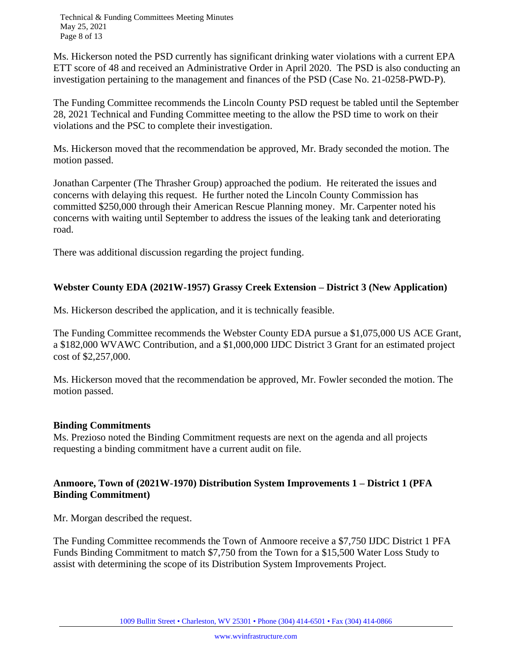Ms. Hickerson noted the PSD currently has significant drinking water violations with a current EPA ETT score of 48 and received an Administrative Order in April 2020. The PSD is also conducting an investigation pertaining to the management and finances of the PSD (Case No. 21-0258-PWD-P).

The Funding Committee recommends the Lincoln County PSD request be tabled until the September 28, 2021 Technical and Funding Committee meeting to the allow the PSD time to work on their violations and the PSC to complete their investigation.

Ms. Hickerson moved that the recommendation be approved, Mr. Brady seconded the motion. The motion passed.

Jonathan Carpenter (The Thrasher Group) approached the podium. He reiterated the issues and concerns with delaying this request. He further noted the Lincoln County Commission has committed \$250,000 through their American Rescue Planning money. Mr. Carpenter noted his concerns with waiting until September to address the issues of the leaking tank and deteriorating road.

There was additional discussion regarding the project funding.

# **Webster County EDA (2021W-1957) Grassy Creek Extension – District 3 (New Application)**

Ms. Hickerson described the application, and it is technically feasible.

The Funding Committee recommends the Webster County EDA pursue a \$1,075,000 US ACE Grant, a \$182,000 WVAWC Contribution, and a \$1,000,000 IJDC District 3 Grant for an estimated project cost of \$2,257,000.

Ms. Hickerson moved that the recommendation be approved, Mr. Fowler seconded the motion. The motion passed.

#### **Binding Commitments**

Ms. Prezioso noted the Binding Commitment requests are next on the agenda and all projects requesting a binding commitment have a current audit on file.

# **Anmoore, Town of (2021W-1970) Distribution System Improvements 1 – District 1 (PFA Binding Commitment)**

Mr. Morgan described the request.

The Funding Committee recommends the Town of Anmoore receive a \$7,750 IJDC District 1 PFA Funds Binding Commitment to match \$7,750 from the Town for a \$15,500 Water Loss Study to assist with determining the scope of its Distribution System Improvements Project.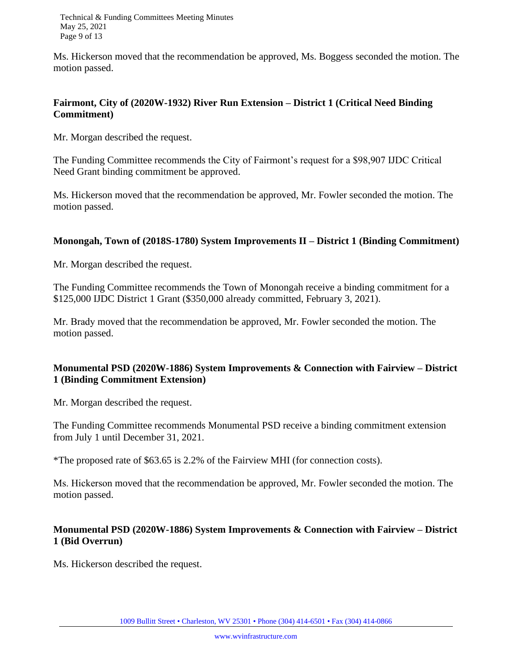Technical & Funding Committees Meeting Minutes May 25, 2021 Page 9 of 13

Ms. Hickerson moved that the recommendation be approved, Ms. Boggess seconded the motion. The motion passed.

#### **Fairmont, City of (2020W-1932) River Run Extension – District 1 (Critical Need Binding Commitment)**

Mr. Morgan described the request.

The Funding Committee recommends the City of Fairmont's request for a \$98,907 IJDC Critical Need Grant binding commitment be approved.

Ms. Hickerson moved that the recommendation be approved, Mr. Fowler seconded the motion. The motion passed.

## **Monongah, Town of (2018S-1780) System Improvements II – District 1 (Binding Commitment)**

Mr. Morgan described the request.

The Funding Committee recommends the Town of Monongah receive a binding commitment for a \$125,000 IJDC District 1 Grant (\$350,000 already committed, February 3, 2021).

Mr. Brady moved that the recommendation be approved, Mr. Fowler seconded the motion. The motion passed.

# **Monumental PSD (2020W-1886) System Improvements & Connection with Fairview – District 1 (Binding Commitment Extension)**

Mr. Morgan described the request.

The Funding Committee recommends Monumental PSD receive a binding commitment extension from July 1 until December 31, 2021.

\*The proposed rate of \$63.65 is 2.2% of the Fairview MHI (for connection costs).

Ms. Hickerson moved that the recommendation be approved, Mr. Fowler seconded the motion. The motion passed.

## **Monumental PSD (2020W-1886) System Improvements & Connection with Fairview – District 1 (Bid Overrun)**

Ms. Hickerson described the request.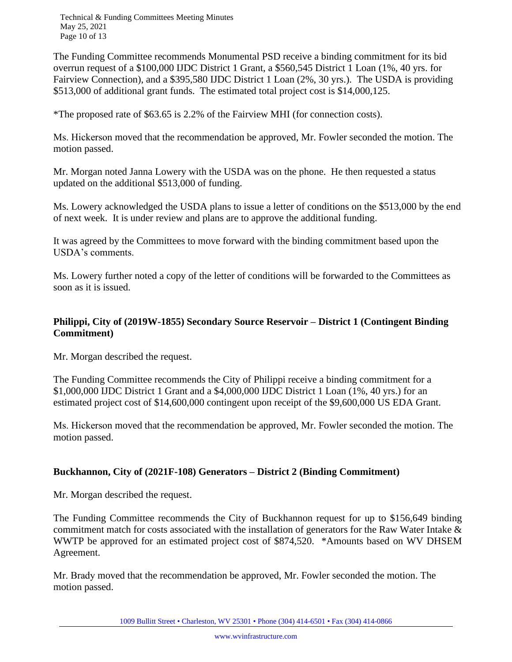Technical & Funding Committees Meeting Minutes May 25, 2021 Page 10 of 13

The Funding Committee recommends Monumental PSD receive a binding commitment for its bid overrun request of a \$100,000 IJDC District 1 Grant, a \$560,545 District 1 Loan (1%, 40 yrs. for Fairview Connection), and a \$395,580 IJDC District 1 Loan (2%, 30 yrs.). The USDA is providing \$513,000 of additional grant funds. The estimated total project cost is \$14,000,125.

\*The proposed rate of \$63.65 is 2.2% of the Fairview MHI (for connection costs).

Ms. Hickerson moved that the recommendation be approved, Mr. Fowler seconded the motion. The motion passed.

Mr. Morgan noted Janna Lowery with the USDA was on the phone. He then requested a status updated on the additional \$513,000 of funding.

Ms. Lowery acknowledged the USDA plans to issue a letter of conditions on the \$513,000 by the end of next week. It is under review and plans are to approve the additional funding.

It was agreed by the Committees to move forward with the binding commitment based upon the USDA's comments.

Ms. Lowery further noted a copy of the letter of conditions will be forwarded to the Committees as soon as it is issued.

# **Philippi, City of (2019W-1855) Secondary Source Reservoir – District 1 (Contingent Binding Commitment)**

Mr. Morgan described the request.

The Funding Committee recommends the City of Philippi receive a binding commitment for a \$1,000,000 IJDC District 1 Grant and a \$4,000,000 IJDC District 1 Loan (1%, 40 yrs.) for an estimated project cost of \$14,600,000 contingent upon receipt of the \$9,600,000 US EDA Grant.

Ms. Hickerson moved that the recommendation be approved, Mr. Fowler seconded the motion. The motion passed.

# **Buckhannon, City of (2021F-108) Generators – District 2 (Binding Commitment)**

Mr. Morgan described the request.

The Funding Committee recommends the City of Buckhannon request for up to \$156,649 binding commitment match for costs associated with the installation of generators for the Raw Water Intake & WWTP be approved for an estimated project cost of \$874,520. \*Amounts based on WV DHSEM Agreement.

Mr. Brady moved that the recommendation be approved, Mr. Fowler seconded the motion. The motion passed.

1009 Bullitt Street • Charleston, WV 25301 • Phone (304) 414-6501 • Fax (304) 414-0866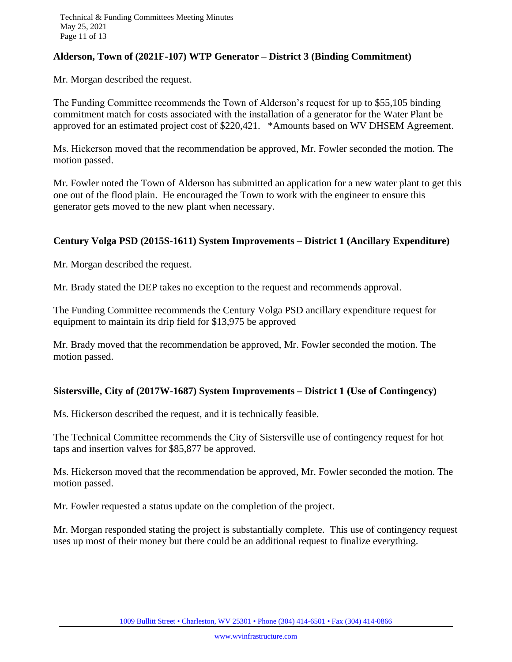## **Alderson, Town of (2021F-107) WTP Generator – District 3 (Binding Commitment)**

Mr. Morgan described the request.

The Funding Committee recommends the Town of Alderson's request for up to \$55,105 binding commitment match for costs associated with the installation of a generator for the Water Plant be approved for an estimated project cost of \$220,421. \*Amounts based on WV DHSEM Agreement.

Ms. Hickerson moved that the recommendation be approved, Mr. Fowler seconded the motion. The motion passed.

Mr. Fowler noted the Town of Alderson has submitted an application for a new water plant to get this one out of the flood plain. He encouraged the Town to work with the engineer to ensure this generator gets moved to the new plant when necessary.

## **Century Volga PSD (2015S-1611) System Improvements – District 1 (Ancillary Expenditure)**

Mr. Morgan described the request.

Mr. Brady stated the DEP takes no exception to the request and recommends approval.

The Funding Committee recommends the Century Volga PSD ancillary expenditure request for equipment to maintain its drip field for \$13,975 be approved

Mr. Brady moved that the recommendation be approved, Mr. Fowler seconded the motion. The motion passed.

#### **Sistersville, City of (2017W-1687) System Improvements – District 1 (Use of Contingency)**

Ms. Hickerson described the request, and it is technically feasible.

The Technical Committee recommends the City of Sistersville use of contingency request for hot taps and insertion valves for \$85,877 be approved.

Ms. Hickerson moved that the recommendation be approved, Mr. Fowler seconded the motion. The motion passed.

Mr. Fowler requested a status update on the completion of the project.

Mr. Morgan responded stating the project is substantially complete.This use of contingency request uses up most of their money but there could be an additional request to finalize everything.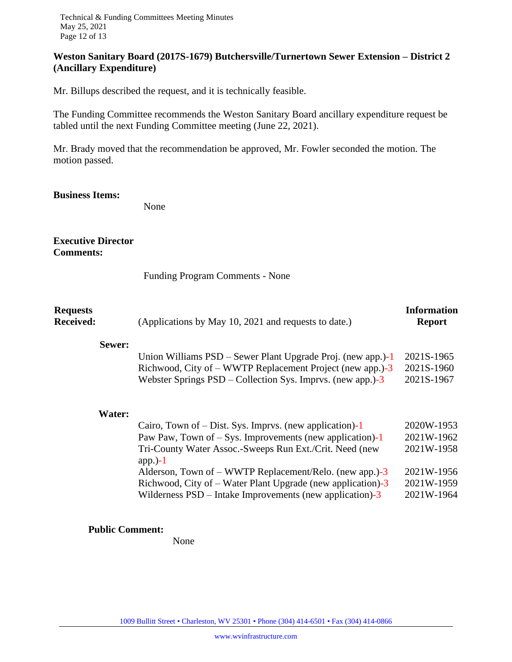# **Weston Sanitary Board (2017S-1679) Butchersville/Turnertown Sewer Extension – District 2 (Ancillary Expenditure)**

Mr. Billups described the request, and it is technically feasible.

The Funding Committee recommends the Weston Sanitary Board ancillary expenditure request be tabled until the next Funding Committee meeting (June 22, 2021).

Mr. Brady moved that the recommendation be approved, Mr. Fowler seconded the motion. The motion passed.

#### **Business Items:**

None

## **Executive Director Comments:**

Funding Program Comments - None

| <b>Requests</b><br><b>Received:</b> |        | (Applications by May 10, 2021 and requests to date.)                                                                                                                                                                                                          | <b>Information</b><br><b>Report</b>                  |
|-------------------------------------|--------|---------------------------------------------------------------------------------------------------------------------------------------------------------------------------------------------------------------------------------------------------------------|------------------------------------------------------|
|                                     | Sewer: | Union Williams PSD – Sewer Plant Upgrade Proj. (new app.)-1<br>Richwood, City of – WWTP Replacement Project (new app.)-3<br>Webster Springs $PSD$ – Collection Sys. Imprvs. (new app.)-3                                                                      | 2021S-1965<br>2021S-1960<br>2021S-1967               |
|                                     | Water: | Cairo, Town of $-$ Dist. Sys. Imprvs. (new application)-1<br>Paw Paw, Town of $-$ Sys. Improvements (new application)-1<br>Tri-County Water Assoc.-Sweeps Run Ext./Crit. Need (new<br>app. $)-1$<br>Alderson, Town of $-$ WWTP Replacement/Relo. (new app.)-3 | 2020W-1953<br>2021W-1962<br>2021W-1958<br>2021W-1956 |
|                                     |        | Richwood, City of – Water Plant Upgrade (new application)-3<br>Wilderness $PSD$ – Intake Improvements (new application)-3                                                                                                                                     | 2021W-1959<br>2021W-1964                             |

#### **Public Comment:**

None